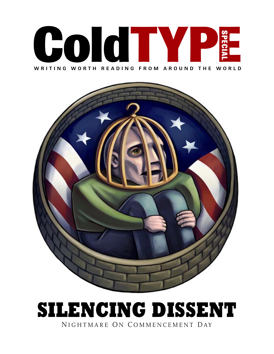



# **SILENCING DISSENT** NIGHTMARE ON COMMENCEMENT DAY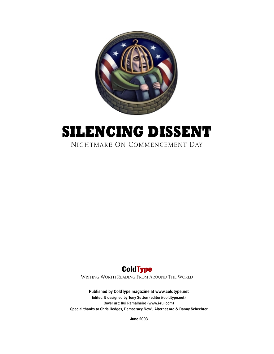

# **SILENCING DISSENT** NIGHTMARE ON COMMENCEMENT DAY



WRITING WORTH READING FROM AROUND THE WORLD

Published by ColdType magazine at www.coldtype.net Edited & designed by Tony Sutton (editor@coldtype.net) Cover art: Rui Ramalheiro (www.i-rui.com) Special thanks to Chris Hedges, Democracy Now!, Alternet.org & Danny Schechter

June 2003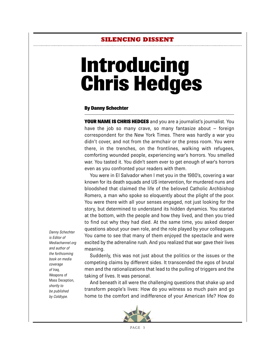# Introducing **Chris Hedges**

#### By Danny Schechter

**YOUR NAME IS CHRIS HEDGES** and you are a journalist's journalist. You have the job so many crave, so many fantasize about  $-$  foreign correspondent for the New York Times. There was hardly a war you didn't cover, and not from the armchair or the press room. You were there, in the trenches, on the frontlines, walking with refugees, comforting wounded people, experiencing war's horrors. You smelled war. You tasted it. You didn't seem ever to get enough of war's horrors even as you confronted your readers with them.

You were in El Salvador when I met you in the 1980's, covering a war known for its death squads and US intervention, for murdered nuns and bloodshed that claimed the life of the beloved Catholic Archbishop Romero, a man who spoke so eloquently about the plight of the poor. You were there with all your senses engaged, not just looking for the story, but determined to understand its hidden dynamics. You started at the bottom, with the people and how they lived, and then you tried to find out why they had died. At the same time, you asked deeper questions about your own role, and the role played by your colleagues. You came to see that many of them enjoyed the spectacle and were excited by the adrenaline rush. And you realized that war gave their lives meaning.

Suddenly, this was not just about the politics or the issues or the competing claims by different sides. It transcended the egos of brutal men and the rationalizations that lead to the pulling of triggers and the taking of lives. It was personal.

And beneath it all were the challenging questions that shake up and transform people's lives: How do you witness so much pain and go home to the comfort and indifference of your American life? How do



*Danny Schechter is Editor of Mediachannel.org and author of the forthcoming book on media coverage of Iraq,*  Weapons of Mass Deception, *shortly to be published by Coldtype.*

PAGE 3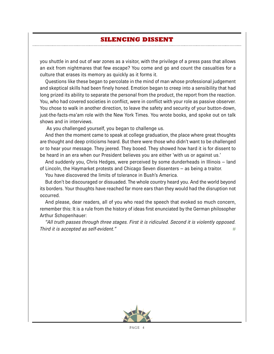you shuttle in and out of war zones as a visitor, with the privilege of a press pass that allows an exit from nightmares that few escape? You come and go and count the casualties for a culture that erases its memory as quickly as it forms it.

Questions like these began to percolate in the mind of man whose professional judgement and skeptical skills had been finely honed. Emotion began to creep into a sensibility that had long prized its ability to separate the personal from the product, the report from the reaction. You, who had covered societies in conflict, were in conflict with your role as passive observer. You chose to walk in another direction, to leave the safety and security of your button-down, just-the-facts-ma'am role with the New York Times. You wrote books, and spoke out on talk shows and in interviews.

As you challenged yourself, you began to challenge us.

And then the moment came to speak at college graduation, the place where great thoughts are thought and deep criticisms heard. But there were those who didn't want to be challenged or to hear your message. They jeered. They booed. They showed how hard it is for dissent to be heard in an era when our President believes you are either 'with us or against us.'

And suddenly you, Chris Hedges, were perceived by some dunderheads in Illinois – land of Lincoln, the Haymarket protests and Chicago Seven dissenters – as being a traitor.

You have discovered the limits of tolerance in Bush's America.

But don't be discouraged or dissuaded. The whole country heard you. And the world beyond its borders. Your thoughts have reached far more ears than they would had the disruption not occurred.

And please, dear readers, all of you who read the speech that evoked so much concern, remember this: It is a rule from the history of ideas first enunciated by the German philosopher Arthur Schopenhauer:

*"All truth passes through three stages. First it is ridiculed. Second it is violently opposed. Third it is accepted as self-evident."* #

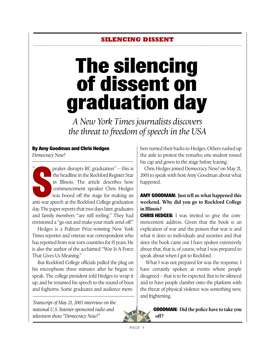# The silencing of dissent on graduation day

*A New York Times journalists discovers the threat to freedom of speech in the USA*

#### By Amy Goodman and Chris Hedges

*Democracy Now!*

peaker disrupts RC graduation" – this is the headline in the Rockford Register Star in Illinois. The article describes how commencement speaker Chris Hedges was booed off the stage for making an anti-war speech at the Rockford College graduation day. The paper reports that two days later, graduates and family members "are still reeling." They had envisioned a "go out and make your mark send-off." "

Hedges is a Pulitzer Prize-winning New York Times reporter and veteran war correspondent who has reported from war-torn countries for 15 years. He is also the author of the acclaimed "War Is A Force That Gives Us Meaning."

But Rockford College officials pulled the plug on his microphone three minutes after he began to speak. The college president told Hedges to wrap it up, and he resumed his speech to the sound of boos and foghorns. Some graduates and audience mem-

*Transcript of May 21, 2003 interview on the national U.S. listener-sponsored radio and television show "Democracy Now!"*

bers turned their backs to Hedges.Others rushed up the aisle to protest the remarks; one student tossed his cap and gown to the stage before leaving.

Chris Hedges joined Democracy Now! on May 21, 2003 to speak with host Amy Goodman about what happened.

### AMY GOODMAN: **Just tell us what happened this weekend. Why did you go to Rockford College in Illinois?**

**CHRIS HEDGES:** I was invited to give the commencement address. Given that the book is an explication of war and the poison that war is and what it does to individuals and societies and that since the book came out I have spoken extensively about that, that is, of course, what I was prepared to speak about when I got to Rockford.

What I was not prepared for was the response. I have certainly spoken at events where people disagreed – that is to be expected. But to be silenced and to have people clamber onto the platform with the threat of physical violence was something new, and frightening.

> GOODMAN: **Did the police have to take you off?**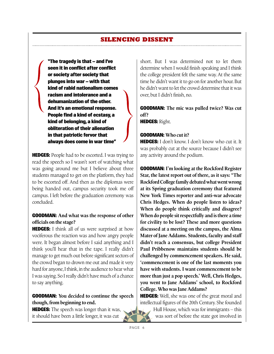"The tragedy is that – and I've seen it in conflict after conflict or society after society that plunges into war – with that kind of rabid nationalism comes racism and intolerance and a dehumanization of the other. And it's an emotional response. People find a kind of ecstasy, a kind of belonging, a kind of obliteration of their alienation in that patriotic fervor that always does come in war time"

**HEDGES:** People had to be escorted. I was trying to read the speech so I wasn't sort of watching what was going around me but I believe about three students managed to get on the platform, they had to be escorted off. And then as the diplomas were being handed out, campus security took me off campus. I left before the graduation ceremony was concluded.

### GOODMAN: **And what was the response of other officials on the stage?**

**HEDGES:** I think all of us were surprised at how vociferous the reaction was and how angry people were. It began almost before I said anything and I think you'll hear that in the tape. I really didn't manage to get much out before significant sectors of the crowd began to drown me out and made it very hard for anyone, I think, in the audience to hear what I was saying.So I really didn't have much of a chance to say anything.

# GOODMAN: **You decided to continue the speech though, from beginning to end.**

**HEDGES:** The speech was longer than it was, it should have been a little longer, it was cut

short. But I was determined not to let them determine when I would finish speaking and I think the college president felt the same way. At the same time he didn't want it to go on for another hour. But he didn't want to let the crowd determine that it was over, but I didn't finish, no.

GOODMAN: **The mic was pulled twice? Was cut off?** 

**HEDGES: Right.** 

#### GOODMAN: **Who cut it?**

HEDGES: I don't know. I don't know who cut it. It was probably cut at the source because I didn't see any activity around the podium.

GOODMAN: **I'm looking at the Rockford Register Star, the latest report out of there, as it says: "The Rockford College family debated what went wrong at its Spring graduation ceremony that featured New York Times reporter and anti-war advocate Chris Hedges. When do people listen to ideas? When do people think critically and disagree? When do people sit respectfully and is there a time for civility to be lost? These and more questions discussed at a meeting on the campus, the Alma Mater of Jane Addams. Students, faculty and staff didn't reach a consensus, but college President Paul Pribbenow maintains students should be challenged by commencement speakers. He said, 'commencement is one of the last moments you have with students. I want commencement to be more than just a pop speech.' Well, Chris Hedges, you went to Jane Addams' school, to Rockford College. Who was Jane Addams?** 

**HEDGES:** Well, she was one of the great moral and intellectual figures of the 20th Century. She founded

> Hull House, which was for immigrants – this was sort of before the state got involved in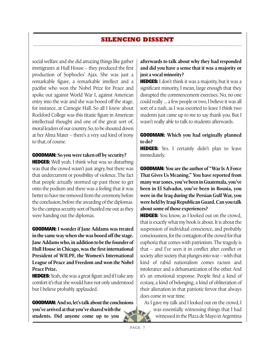social welfare and she did amazing things like gather immigrants at Hull House – they produced the first production of Sophocles' Ajax. She was just a remarkable figure, a remarkable intellect and a pacifist who won the Nobel Prize for Peace and spoke out against World War I, against American entry into the war and she was booed off the stage, for instance, at Carnegie Hall. So all I knew about Rockford College was this titanic figure in American intellectual thought and one of the great sort of, moral leaders of our country.So,to be shouted down at her Alma Mater – there's a very sad kind of irony to that, of course.

#### GOODMAN: **So you were taken off by security?**

**HEDGES:** Well yeah. I think what was so disturbing was that the crowd wasn't just angry, but there was that undercurrent or possibility of violence. The fact that people actually stormed up past those to get onto the podium and there was a feeling that it was better to have me removed from the ceremony before the conclusion, before the awarding of the diplomas. So the campus security sort of hustled me out as they were handing out the diplomas.

GOODMAN: **I wonder if Jane Addams was treated in the same way when she was booed off the stage. Jane Addams who, in addition to be the founder of Hull House in Chicago, was the first international President of WILPF, the Women's International League of Peace and Freedom and won the Nobel Peace Prize.** 

**HEDGES:** Yeah, she was a great figure and if I take any comfort it's that she would have not only understood but I believe probably applauded.

GOODMAN: **And so, let's talk about the conclusions you've arrived at that you've shared with the students. Did anyone come up to you**

#### **afterwards to talk about why they had responded and did you have a sense that it was a majority or just a vocal minority?**

**HEDGES:** I don't think it was a majority, but it was a significant minority, I mean, large enough that they disrupted the commencement exercises. No, no one could really ...a few people or two,I believe it was all sort of a rush, as I was escorted to leave I think two students just came up to me to say thank you. But I wasn't really able to talk to students afterwards.

## GOODMAN: **Which you had originally planned to do?**

HEDGES: Yes. I certainly didn't plan to leave immediately.

GOODMAN: **You are the author of "War Is A Force That Gives Us Meaning." You have reported from many war zones, you've been in Guatemala, you've been in El Salvador, you've been in Bosnia, you were in the Iraq during the Persian Gulf War, you were held by Iraqi Republican Guard. Can you talk about some of those experiences?** 

**HEDGES:** You know, as I looked out on the crowd, that is exactly what my book is about.It is about the suspension of individual conscience, and probably consciousness,for the contagion of the crowd for that euphoria that comes with patriotism. The tragedy is that – and I've seen it in conflict after conflict or society after society that plunges into war – with that kind of rabid nationalism comes racism and intolerance and a dehumanization of the other. And it's an emotional response. People find a kind of ecstasy, a kind of belonging, a kind of obliteration of their alienation in that patriotic fervor that always does come in war time.

As I gave my talk and I looked out on the crowd, I was essentially witnessing things that I had

witnessed in the Plaza de Mayo in Argentina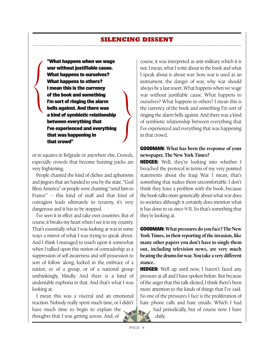"What happens when we wage war without justifiable cause. What happens to ourselves? What happens to others? I mean this is the currency of the book and something I'm sort of ringing the alarm bells against. And there was a kind of symbiotic relationship between everything that I've experienced and everything that was happening in that crowd"

or in squares in Belgrade or anywhere else. Crowds, especially crowds that become hunting packs are very frightening.

People chanted the kind of cliches and aphorisms and jingoes that are handed to you by the state."God Bless America" or people were chanting "send him to France" – this kind of stuff and that kind of contagion leads ultimately to tyranny, it's very dangerous and it has to be stopped.

I've seen it in effect and take over countries. But of course,it breaks my heart when I see it in my country. That's essentially what I was looking at was in some ways a mirror of what I was trying to speak about. And I think I managed to touch upon it somewhat when I talked upon this notion of comradeship as a suppression of self awareness and self-possession to sort of follow along, locked in the embrace of a nation, or of a group, or of a national group unthinkingly, blindly. And there is a kind of undeniable euphoria in that. And that's what I was looking at.

I mean this was a visceral and an emotional reaction. Nobody really spent much time, or I didn't have much time to begin to explain the thoughts that I was getting across. And, of

course, it was interpreted as anti-military which it is not.I mean,what I write about in the book and what I speak about is about war: how war is used as an instrument, the danger of war, why war should always be a last resort.What happens when we wage war without justifiable cause. What happens to ourselves? What happens to others? I mean this is the currency of the book and something I'm sort of ringing the alarm bells against.And there was a kind of symbiotic relationship between everything that I've experienced and everything that was happening in that crowd.

### GOODMAN: **What has been the response of your newspaper, The New York Times?**

**HEDGES:** Well, they're looking into whether I breached the protocol in terms of my very pointed statements about the Iraqi War. I mean, that's something that makes them uncomfortable. I don't think they have a problem with the book, because the book talks more generically about what war does to societies although it certainly does mention what it has done to us since 9/11. So that's something that they're looking at.

GOODMAN: **What pressures do you face? The New York Times, in their reporting of the invasion, like many other papers you don't have to single them out, including television news, are very much beating the drums for war. You take a very different stance.**

**HEDGES:** Well up until now, I haven't faced any pressure at all and I have spoken before. But because of the anger that this talk elicited,I think there's been more attention to the kinds of things that I've said. So one of the pressures I face is the proliferation of hate phone calls and hate emails. Which I had

had periodically, but of course now I have daily.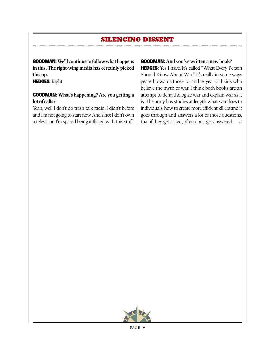GOODMAN:**We'll continue to follow what happens in this. The right-wing media has certainly picked this up.** 

**HEDGES: Right.** 

GOODMAN: **What's happening? Are you getting a lot of calls?** 

Yeah, well I don't do trash talk radio. I didn't before and I'm not going to start now.And since I don't own a television I'm spared being inflicted with this stuff.

#### GOODMAN: **And you've written a new book?**

**HEDGES:** Yes I have. It's called "What Every Person Should Know About War." It's really in some ways geared towards those 17- and 18-year-old kids who believe the myth of war. I think both books are an attempt to demythologize war and explain war as it is. The army has studies at length what war does to individuals, how to create more efficient killers and it goes through and answers a lot of those questions, that if they get asked, often don't get answered.  $#$ 

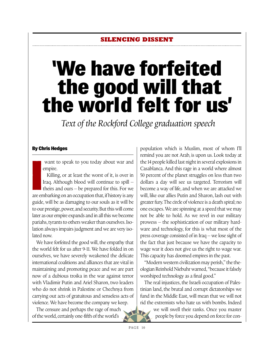# 'We have forfeited the good will that the world felt for us'

*Text of the Rockford College graduation speech*

#### By Chris Hedges

want to speak to you today about war and empire.

Killing, or at least the worst of it, is over in Iraq. Although blood will continue to spill – theirs and ours – be prepared for this. For we are embarking on an occupation that, if history is any guide, will be as damaging to our souls as it will be to our prestige, power, and security. But this will come later as our empire expands and in all this we become pariahs,tyrants to others weaker than ourselves.Isolation always impairs judgment and we are very isolated now.

We have forfeited the good will, the empathy that the world felt for us after 9-11. We have folded in on ourselves, we have severely weakened the delicate international coalitions and alliances that are vital in maintaining and promoting peace and we are part now of a dubious troika in the war against terror with Vladimir Putin and Ariel Sharon, two leaders who do not shrink in Palestine or Chechnya from carrying out acts of gratuitous and senseless acts of violence. We have become the company we keep.

The censure and perhaps the rage of much of the world, certainly one-fifth of the world's

population which is Muslim, most of whom I'll remind you are not Arab, is upon us. Look today at the 14 people killed last night in several explosions in Casablanca. And this rage in a world where almost 50 percent of the planet struggles on less than two dollars a day will see us targeted. Terrorism will become a way of life, and when we are attacked we will, like our allies Putin and Sharon, lash out with greater fury.The circle of violence is a death spiral; no one escapes.We are spinning at a speed that we may not be able to hold. As we revel in our military prowess – the sophistication of our military hardware and technology, for this is what most of the press coverage consisted of in Iraq – we lose sight of the fact that just because we have the capacity to wage war it does not give us the right to wage war. This capacity has doomed empires in the past.

"Modern western civilization may perish," the theologian Reinhold Niebuhr warned,"because it falsely worshiped technology as a final good."

The real injustices, the Israeli occupation of Palestinian land, the brutal and corrupt dictatorships we fund in the Middle East, will mean that we will not rid the extremists who hate us with bombs. Indeed

> we will swell their ranks. Once you master people by force you depend on force for con-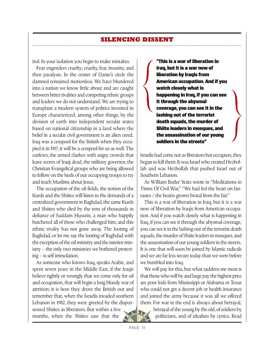trol. In your isolation you begin to make mistakes.

Fear engenders cruelty; cruelty, fear, insanity, and then paralysis. In the center of Dante's circle the damned remained motionless. We have blundered into a nation we know little about and are caught between bitter rivalries and competing ethnic groups and leaders we do not understand. We are trying to transplant a modern system of politics invented in Europe characterized, among other things, by the division of earth into independent secular states based on national citizenship in a land where the belief in a secular civil government is an alien creed. Iraq was a cesspool for the British when they occupied it in 1917; it will be a cesspool for us as well. The curfews, the armed clashes with angry crowds that leave scores of Iraqi dead, the military governor, the Christian Evangelical groups who are being allowed to follow on the heels of our occupying troops to try and teach Muslims about Jesus.

The occupation of the oil fields, the notion of the Kurds and the Shiites will listen to the demands of a centralized government in Baghdad, the same Kurds and Shiites who died by the tens of thousands in defiance of Saddam Hussein, a man who happily butchered all of those who challenged him, and this ethnic rivalry has not gone away. The looting of Baghdad, or let me say the looting of Baghdad with the exception of the oil ministry and the interior ministry – the only two ministries we bothered protecting – is self immolation.

As someone who knows Iraq, speaks Arabic, and spent seven years in the Middle East, if the Iraqis believe rightly or wrongly that we come only for oil and occupation, that will begin a long bloody war of attrition; it is how they drove the British out and remember that, when the Israelis invaded southern Lebanon in 1982, they were greeted by the dispossessed Shiites as liberators. But within a few months, when the Shiites saw that the

"This is a war of liberation in Iraq, but it is a war now of liberation by Iraqis from American occupation. And if you watch closely what is happening in Iraq, if you can see it through the abysmal coverage, you can see it in the lashing out of the terrorist death squads, the murder of Shiite leaders in mosques, and the assassination of our young soldiers in the streets"

Israelis had come not as liberators but occupiers, they began to kill them.It was Israel who created Hezbollah and was Hezbollah that pushed Israel out of Southern Lebanon.

As William Butler Yeats wrote in "Meditations in Times Of Civil War," "We had fed the heart on fantasies / the hearts grown brutal from the fair."

This is a war of liberation in Iraq, but it is a war now of liberation by Iraqis from American occupation. And if you watch closely what is happening in Iraq, if you can see it through the abysmal coverage, you can see it in the lashing out of the terrorist death squads, the murder of Shiite leaders in mosques, and the assassination of our young soldiers in the streets. It is one that will soon be joined by Islamic radicals and we are far less secure today than we were before we bumbled into Iraq.

We will pay for this, but what saddens me most is that those who will by and large pay the highest price are poor kids from Mississippi or Alabama or Texas who could not get a decent job or health insurance and joined the army because it was all we offered them. For war in the end is always about betrayal,

> betrayal of the young by the old, of soldiers by politicians, and of idealists by cynics. Read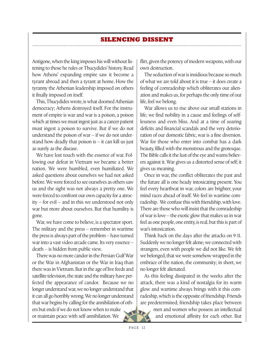Antigone,when the king imposes his will without listening to those he rules or Thucydides' history. Read how Athens' expanding empire saw it become a tyrant abroad and then a tyrant at home. How the tyranny the Athenian leadership imposed on others it finally imposed on itself.

This, Thucydides wrote, is what doomed Athenian democracy; Athens destroyed itself. For the instrument of empire is war and war is a poison, a poison which at times we must ingest just as a cancer patient must ingest a poison to survive. But if we do not understand the poison of  $war - if we do not under$ stand how deadly that poison is  $-$  it can kill us just as surely as the disease.

We have lost touch with the essence of war. Following our defeat in Vietnam we became a better nation. We were humbled, even humiliated. We asked questions about ourselves we had not asked before.We were forced to see ourselves as others saw us and the sight was not always a pretty one. We were forced to confront our own capacity for a atrocity – for evil – and in this we understood not only war but more about ourselves. But that humility is gone.

War, we have come to believe, is a spectator sport. The military and the press – remember in wartime the press is always part of the problem – have turned war into a vast video arcade came. Its very essence death – is hidden from public view.

There was no more candor in the Persian Gulf War or the War in Afghanistan or the War in Iraq than there was in Vietnam.But in the age of live feeds and satellite television, the state and the military have perfected the appearance of candor. Because we no longer understand war, we no longer understand that it can all go horribly wrong.We no longer understand that war begins by calling for the annihilation of others but ends if we do not know when to make or maintain peace with self-annihilation. We

flirt, given the potency of modern weapons, with our own destruction.

The seduction of war is insidious because so much of what we are told about it is true – it does create a feeling of comradeship which obliterates our alienation and makes us, for perhaps the only time of our life, feel we belong.

War allows us to rise above our small stations in life; we find nobility in a cause and feelings of selflessness and even bliss. And at a time of soaring deficits and financial scandals and the very deterioration of our domestic fabric, war is a fine diversion. War for those who enter into combat has a dark beauty, filled with the monstrous and the grotesque. The Bible calls it the lust of the eye and warns believers against it. War gives us a distorted sense of self; it gives us meaning.

Once in war, the conflict obliterates the past and the future all is one heady intoxicating present. You feel every heartbeat in war, colors are brighter, your mind races ahead of itself. We feel in wartime comradeship. We confuse this with friendship, with love. There are those who will insist that the comradeship of war is love – the exotic glow that makes us in war feel as one people, one entity, is real, but this is part of war's intoxication.

Think back on the days after the attacks on 9-11. Suddenly we no longer felt alone; we connected with strangers, even with people we did not like. We felt we belonged, that we were somehow wrapped in the embrace of the nation, the community; in short, we no longer felt alienated.

As this feeling dissipated in the weeks after the attack, there was a kind of nostalgia for its warm glow and wartime always brings with it this comradeship, which is the opposite of friendship. Friends are predetermined; friendship takes place between

> men and women who possess an intellectual and emotional affinity for each other. But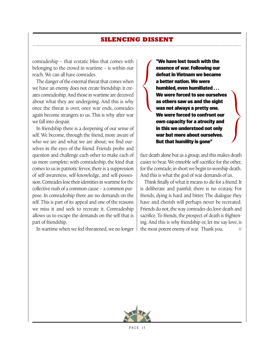comradeship – that ecstatic bliss that comes with belonging to the crowd in wartime – is within our reach. We can all have comrades.

The danger of the external threat that comes when we have an enemy does not create friendship; it creates comradeship.And those in wartime are deceived about what they are undergoing. And this is why once the threat is over, once war ends, comrades again become strangers to us. This is why after war we fall into despair.

In friendship there is a deepening of our sense of self. We become, through the friend, more aware of who we are and what we are about; we find ourselves in the eyes of the friend. Friends probe and question and challenge each other to make each of us more complete; with comradeship, the kind that comes to us in patriotic fervor, there is a suppression of self-awareness, self-knowledge, and self-possession.Comrades lose their identities in wartime for the collective rush of a common cause – a common purpose. In comradeship there are no demands on the self. This is part of its appeal and one of the reasons we miss it and seek to recreate it. Comradeship allows us to escape the demands on the self that is part of friendship.

In wartime when we feel threatened, we no longer  $\parallel$ 

"We have lost touch with the essence of war. Following our defeat in Vietnam we became a better nation. We were humbled, even humiliated . . . We were forced to see ourselves as others saw us and the sight was not always a pretty one. We were forced to confront our own capacity for a atrocity and in this we understood not only war but more about ourselves. But that humility is gone"

face death alone but as a group, and this makes death easier to bear. We ennoble self-sacrifice for the other, for the comrade; in short we begin to worship death. And this is what the god of war demands of us.

Think finally of what it means to die for a friend.It is deliberate and painful; there is no ecstasy. For friends, dying is hard and bitter. The dialogue they have and cherish will perhaps never be recreated. Friends do not, the way comrades do, love death and sacrifice. To friends, the prospect of death is frightening. And this is why friendship or, let me say love, is the most potent enemy of war. Thank you.  $#$